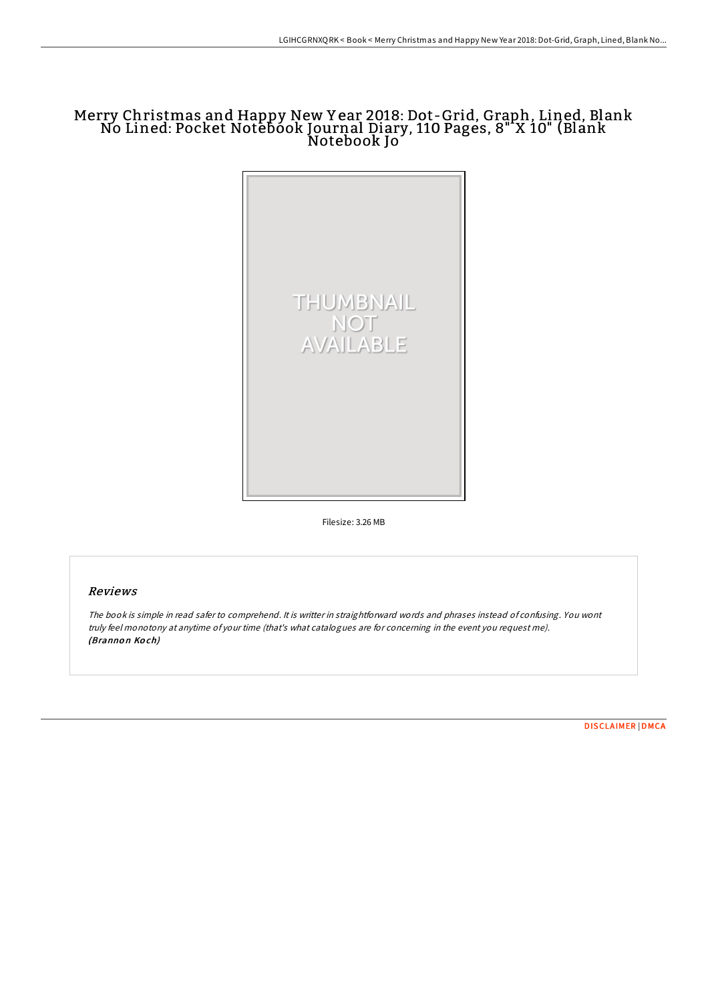## Merry Christmas and Happy New Y ear 2018: Dot-Grid, Graph, Lined, Blank No Lined: Pocket Notebook Journal Diary, 110 Pages, 8" X 10" (Blank Notebook Jo



Filesize: 3.26 MB

## Reviews

The book is simple in read safer to comprehend. It is writter in straightforward words and phrases instead of confusing. You wont truly feel monotony at anytime of your time (that's what catalogues are for concerning in the event you request me). (Brannon Koch)

[DISCLAIMER](http://almighty24.tech/disclaimer.html) | [DMCA](http://almighty24.tech/dmca.html)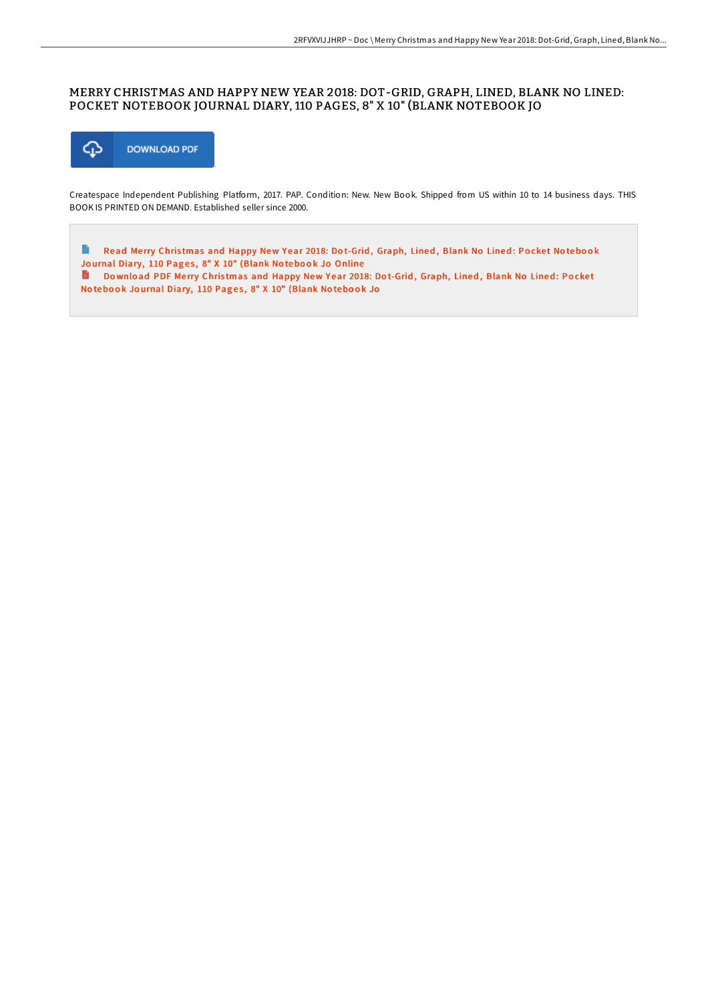## MERRY CHRISTMAS AND HAPPY NEW YEAR 2018: DOT-GRID, GRAPH, LINED, BLANK NO LINED: POCKET NOTEBOOK JOURNAL DIARY, 110 PAGES, 8" X 10" (BLANK NOTEBOOK JO



Createspace Independent Publishing Platform, 2017. PAP. Condition: New. New Book. Shipped from US within 10 to 14 business days. THIS BOOK IS PRINTED ON DEMAND. Established seller since 2000.

 $\Rightarrow$ Read Merry Christmas and Happy New Year 2018: Dot-Grid, [Graph,](http://almighty24.tech/merry-christmas-and-happy-new-year-2018-dot-grid.html) Lined, Blank No Lined: Pocket Notebook Journal Diary, 110 Pages, 8" X 10" (Blank Notebook Jo Online Download PDF Merry Christmas and Happy New Year 2018: Dot-Grid, [Graph,](http://almighty24.tech/merry-christmas-and-happy-new-year-2018-dot-grid.html) Lined, Blank No Lined: Pocket

Notebook Journal Diary, 110 Pages, 8" X 10" (Blank Notebook Jo